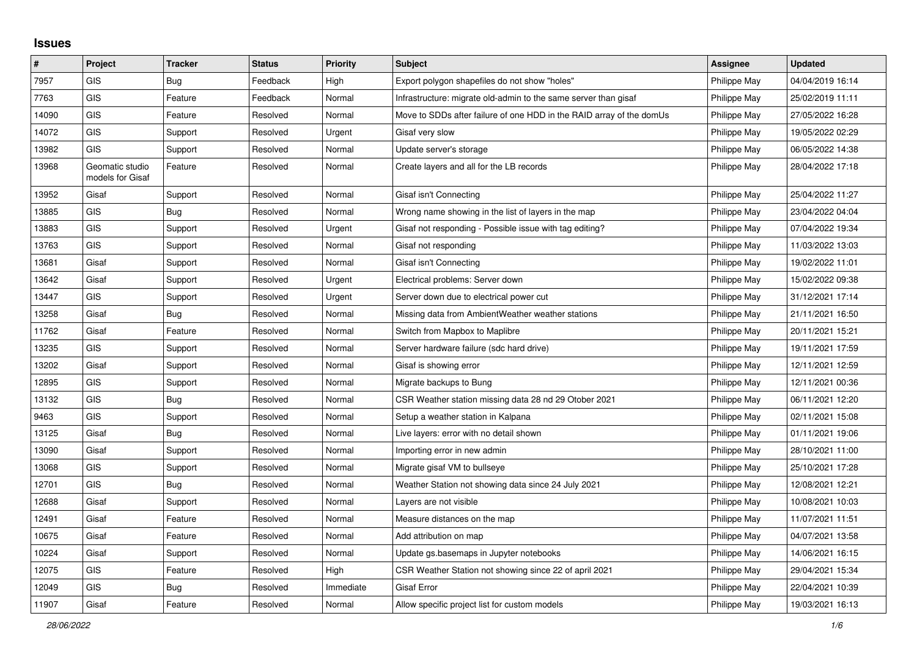## **Issues**

| #     | Project                             | <b>Tracker</b> | <b>Status</b> | <b>Priority</b> | <b>Subject</b>                                                       | Assignee     | <b>Updated</b>   |
|-------|-------------------------------------|----------------|---------------|-----------------|----------------------------------------------------------------------|--------------|------------------|
| 7957  | <b>GIS</b>                          | Bug            | Feedback      | High            | Export polygon shapefiles do not show "holes"                        | Philippe May | 04/04/2019 16:14 |
| 7763  | <b>GIS</b>                          | Feature        | Feedback      | Normal          | Infrastructure: migrate old-admin to the same server than gisaf      | Philippe May | 25/02/2019 11:11 |
| 14090 | GIS                                 | Feature        | Resolved      | Normal          | Move to SDDs after failure of one HDD in the RAID array of the domUs | Philippe May | 27/05/2022 16:28 |
| 14072 | GIS                                 | Support        | Resolved      | Urgent          | Gisaf very slow                                                      | Philippe May | 19/05/2022 02:29 |
| 13982 | <b>GIS</b>                          | Support        | Resolved      | Normal          | Update server's storage                                              | Philippe May | 06/05/2022 14:38 |
| 13968 | Geomatic studio<br>models for Gisaf | Feature        | Resolved      | Normal          | Create layers and all for the LB records                             | Philippe May | 28/04/2022 17:18 |
| 13952 | Gisaf                               | Support        | Resolved      | Normal          | Gisaf isn't Connecting                                               | Philippe May | 25/04/2022 11:27 |
| 13885 | <b>GIS</b>                          | Bug            | Resolved      | Normal          | Wrong name showing in the list of layers in the map                  | Philippe May | 23/04/2022 04:04 |
| 13883 | <b>GIS</b>                          | Support        | Resolved      | Urgent          | Gisaf not responding - Possible issue with tag editing?              | Philippe May | 07/04/2022 19:34 |
| 13763 | <b>GIS</b>                          | Support        | Resolved      | Normal          | Gisaf not responding                                                 | Philippe May | 11/03/2022 13:03 |
| 13681 | Gisaf                               | Support        | Resolved      | Normal          | Gisaf isn't Connecting                                               | Philippe May | 19/02/2022 11:01 |
| 13642 | Gisaf                               | Support        | Resolved      | Urgent          | Electrical problems: Server down                                     | Philippe May | 15/02/2022 09:38 |
| 13447 | GIS                                 | Support        | Resolved      | Urgent          | Server down due to electrical power cut                              | Philippe May | 31/12/2021 17:14 |
| 13258 | Gisaf                               | Bug            | Resolved      | Normal          | Missing data from AmbientWeather weather stations                    | Philippe May | 21/11/2021 16:50 |
| 11762 | Gisaf                               | Feature        | Resolved      | Normal          | Switch from Mapbox to Maplibre                                       | Philippe May | 20/11/2021 15:21 |
| 13235 | <b>GIS</b>                          | Support        | Resolved      | Normal          | Server hardware failure (sdc hard drive)                             | Philippe May | 19/11/2021 17:59 |
| 13202 | Gisaf                               | Support        | Resolved      | Normal          | Gisaf is showing error                                               | Philippe May | 12/11/2021 12:59 |
| 12895 | <b>GIS</b>                          | Support        | Resolved      | Normal          | Migrate backups to Bung                                              | Philippe May | 12/11/2021 00:36 |
| 13132 | GIS                                 | Bug            | Resolved      | Normal          | CSR Weather station missing data 28 nd 29 Otober 2021                | Philippe May | 06/11/2021 12:20 |
| 9463  | GIS                                 | Support        | Resolved      | Normal          | Setup a weather station in Kalpana                                   | Philippe May | 02/11/2021 15:08 |
| 13125 | Gisaf                               | <b>Bug</b>     | Resolved      | Normal          | Live layers: error with no detail shown                              | Philippe May | 01/11/2021 19:06 |
| 13090 | Gisaf                               | Support        | Resolved      | Normal          | Importing error in new admin                                         | Philippe May | 28/10/2021 11:00 |
| 13068 | <b>GIS</b>                          | Support        | Resolved      | Normal          | Migrate gisaf VM to bullseye                                         | Philippe May | 25/10/2021 17:28 |
| 12701 | <b>GIS</b>                          | Bug            | Resolved      | Normal          | Weather Station not showing data since 24 July 2021                  | Philippe May | 12/08/2021 12:21 |
| 12688 | Gisaf                               | Support        | Resolved      | Normal          | Layers are not visible                                               | Philippe May | 10/08/2021 10:03 |
| 12491 | Gisaf                               | Feature        | Resolved      | Normal          | Measure distances on the map                                         | Philippe May | 11/07/2021 11:51 |
| 10675 | Gisaf                               | Feature        | Resolved      | Normal          | Add attribution on map                                               | Philippe May | 04/07/2021 13:58 |
| 10224 | Gisaf                               | Support        | Resolved      | Normal          | Update gs.basemaps in Jupyter notebooks                              | Philippe May | 14/06/2021 16:15 |
| 12075 | GIS                                 | Feature        | Resolved      | High            | CSR Weather Station not showing since 22 of april 2021               | Philippe May | 29/04/2021 15:34 |
| 12049 | <b>GIS</b>                          | Bug            | Resolved      | Immediate       | Gisaf Error                                                          | Philippe May | 22/04/2021 10:39 |
| 11907 | Gisaf                               | Feature        | Resolved      | Normal          | Allow specific project list for custom models                        | Philippe May | 19/03/2021 16:13 |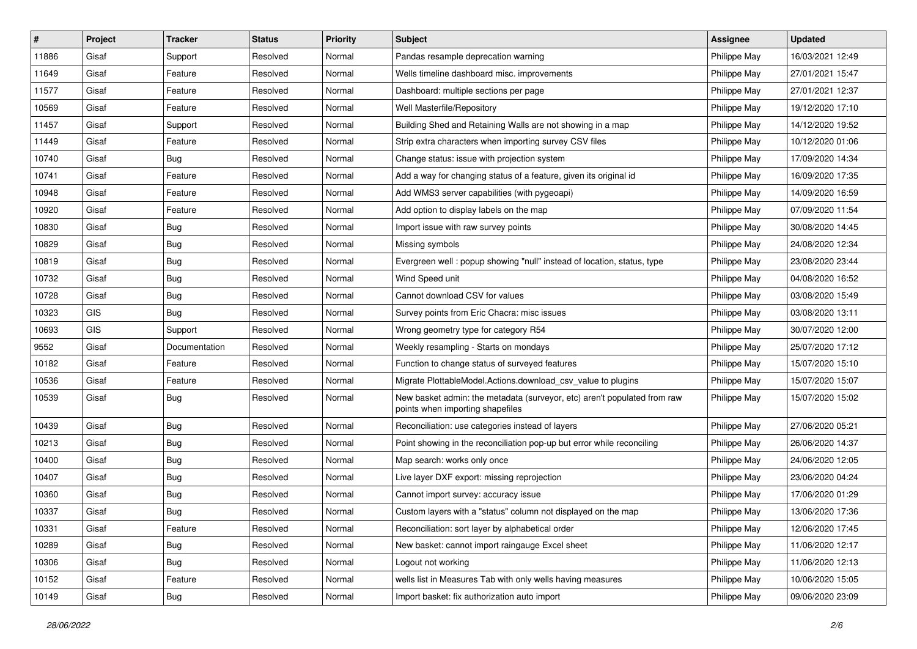| $\vert$ # | Project | <b>Tracker</b> | <b>Status</b> | <b>Priority</b> | <b>Subject</b>                                                                                               | <b>Assignee</b> | <b>Updated</b>   |
|-----------|---------|----------------|---------------|-----------------|--------------------------------------------------------------------------------------------------------------|-----------------|------------------|
| 11886     | Gisaf   | Support        | Resolved      | Normal          | Pandas resample deprecation warning                                                                          | Philippe May    | 16/03/2021 12:49 |
| 11649     | Gisaf   | Feature        | Resolved      | Normal          | Wells timeline dashboard misc. improvements                                                                  | Philippe May    | 27/01/2021 15:47 |
| 11577     | Gisaf   | Feature        | Resolved      | Normal          | Dashboard: multiple sections per page                                                                        | Philippe May    | 27/01/2021 12:37 |
| 10569     | Gisaf   | Feature        | Resolved      | Normal          | Well Masterfile/Repository                                                                                   | Philippe May    | 19/12/2020 17:10 |
| 11457     | Gisaf   | Support        | Resolved      | Normal          | Building Shed and Retaining Walls are not showing in a map                                                   | Philippe May    | 14/12/2020 19:52 |
| 11449     | Gisaf   | Feature        | Resolved      | Normal          | Strip extra characters when importing survey CSV files                                                       | Philippe May    | 10/12/2020 01:06 |
| 10740     | Gisaf   | <b>Bug</b>     | Resolved      | Normal          | Change status: issue with projection system                                                                  | Philippe May    | 17/09/2020 14:34 |
| 10741     | Gisaf   | Feature        | Resolved      | Normal          | Add a way for changing status of a feature, given its original id                                            | Philippe May    | 16/09/2020 17:35 |
| 10948     | Gisaf   | Feature        | Resolved      | Normal          | Add WMS3 server capabilities (with pygeoapi)                                                                 | Philippe May    | 14/09/2020 16:59 |
| 10920     | Gisaf   | Feature        | Resolved      | Normal          | Add option to display labels on the map                                                                      | Philippe May    | 07/09/2020 11:54 |
| 10830     | Gisaf   | Bug            | Resolved      | Normal          | Import issue with raw survey points                                                                          | Philippe May    | 30/08/2020 14:45 |
| 10829     | Gisaf   | <b>Bug</b>     | Resolved      | Normal          | Missing symbols                                                                                              | Philippe May    | 24/08/2020 12:34 |
| 10819     | Gisaf   | Bug            | Resolved      | Normal          | Evergreen well : popup showing "null" instead of location, status, type                                      | Philippe May    | 23/08/2020 23:44 |
| 10732     | Gisaf   | <b>Bug</b>     | Resolved      | Normal          | Wind Speed unit                                                                                              | Philippe May    | 04/08/2020 16:52 |
| 10728     | Gisaf   | <b>Bug</b>     | Resolved      | Normal          | Cannot download CSV for values                                                                               | Philippe May    | 03/08/2020 15:49 |
| 10323     | GIS     | <b>Bug</b>     | Resolved      | Normal          | Survey points from Eric Chacra: misc issues                                                                  | Philippe May    | 03/08/2020 13:11 |
| 10693     | GIS     | Support        | Resolved      | Normal          | Wrong geometry type for category R54                                                                         | Philippe May    | 30/07/2020 12:00 |
| 9552      | Gisaf   | Documentation  | Resolved      | Normal          | Weekly resampling - Starts on mondays                                                                        | Philippe May    | 25/07/2020 17:12 |
| 10182     | Gisaf   | Feature        | Resolved      | Normal          | Function to change status of surveyed features                                                               | Philippe May    | 15/07/2020 15:10 |
| 10536     | Gisaf   | Feature        | Resolved      | Normal          | Migrate PlottableModel.Actions.download_csv_value to plugins                                                 | Philippe May    | 15/07/2020 15:07 |
| 10539     | Gisaf   | <b>Bug</b>     | Resolved      | Normal          | New basket admin: the metadata (surveyor, etc) aren't populated from raw<br>points when importing shapefiles | Philippe May    | 15/07/2020 15:02 |
| 10439     | Gisaf   | Bug            | Resolved      | Normal          | Reconciliation: use categories instead of layers                                                             | Philippe May    | 27/06/2020 05:21 |
| 10213     | Gisaf   | <b>Bug</b>     | Resolved      | Normal          | Point showing in the reconciliation pop-up but error while reconciling                                       | Philippe May    | 26/06/2020 14:37 |
| 10400     | Gisaf   | <b>Bug</b>     | Resolved      | Normal          | Map search: works only once                                                                                  | Philippe May    | 24/06/2020 12:05 |
| 10407     | Gisaf   | Bug            | Resolved      | Normal          | Live layer DXF export: missing reprojection                                                                  | Philippe May    | 23/06/2020 04:24 |
| 10360     | Gisaf   | <b>Bug</b>     | Resolved      | Normal          | Cannot import survey: accuracy issue                                                                         | Philippe May    | 17/06/2020 01:29 |
| 10337     | Gisaf   | Bug            | Resolved      | Normal          | Custom layers with a "status" column not displayed on the map                                                | Philippe May    | 13/06/2020 17:36 |
| 10331     | Gisaf   | Feature        | Resolved      | Normal          | Reconciliation: sort layer by alphabetical order                                                             | Philippe May    | 12/06/2020 17:45 |
| 10289     | Gisaf   | <b>Bug</b>     | Resolved      | Normal          | New basket: cannot import raingauge Excel sheet                                                              | Philippe May    | 11/06/2020 12:17 |
| 10306     | Gisaf   | <b>Bug</b>     | Resolved      | Normal          | Logout not working                                                                                           | Philippe May    | 11/06/2020 12:13 |
| 10152     | Gisaf   | Feature        | Resolved      | Normal          | wells list in Measures Tab with only wells having measures                                                   | Philippe May    | 10/06/2020 15:05 |
| 10149     | Gisaf   | Bug            | Resolved      | Normal          | Import basket: fix authorization auto import                                                                 | Philippe May    | 09/06/2020 23:09 |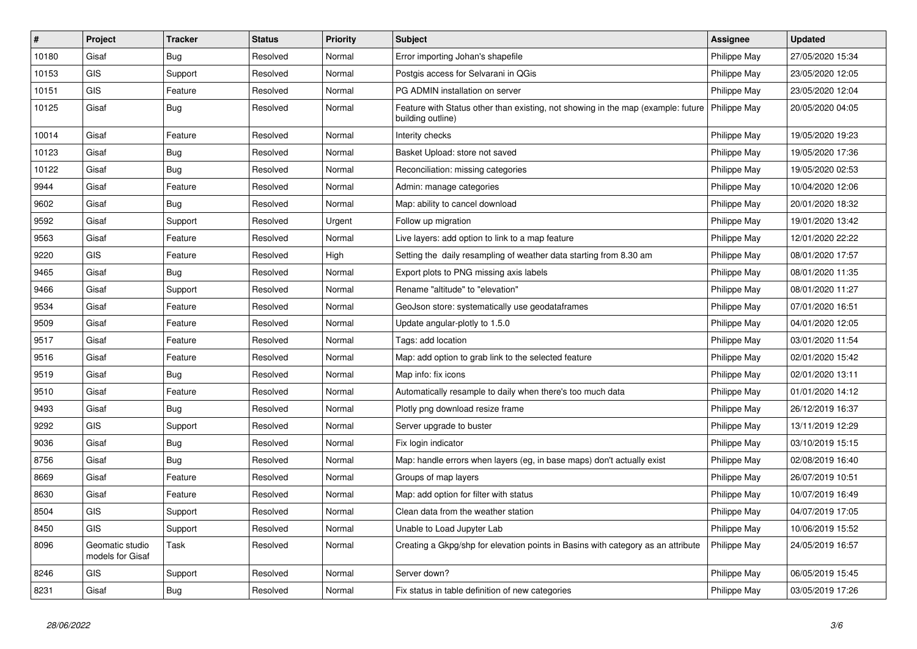| #     | Project                             | <b>Tracker</b> | <b>Status</b> | <b>Priority</b> | <b>Subject</b>                                                                                        | <b>Assignee</b> | <b>Updated</b>   |
|-------|-------------------------------------|----------------|---------------|-----------------|-------------------------------------------------------------------------------------------------------|-----------------|------------------|
| 10180 | Gisaf                               | <b>Bug</b>     | Resolved      | Normal          | Error importing Johan's shapefile                                                                     | Philippe May    | 27/05/2020 15:34 |
| 10153 | GIS                                 | Support        | Resolved      | Normal          | Postgis access for Selvarani in QGis                                                                  | Philippe May    | 23/05/2020 12:05 |
| 10151 | GIS                                 | Feature        | Resolved      | Normal          | PG ADMIN installation on server                                                                       | Philippe May    | 23/05/2020 12:04 |
| 10125 | Gisaf                               | <b>Bug</b>     | Resolved      | Normal          | Feature with Status other than existing, not showing in the map (example: future<br>building outline) | Philippe May    | 20/05/2020 04:05 |
| 10014 | Gisaf                               | Feature        | Resolved      | Normal          | Interity checks                                                                                       | Philippe May    | 19/05/2020 19:23 |
| 10123 | Gisaf                               | Bug            | Resolved      | Normal          | Basket Upload: store not saved                                                                        | Philippe May    | 19/05/2020 17:36 |
| 10122 | Gisaf                               | Bug            | Resolved      | Normal          | Reconciliation: missing categories                                                                    | Philippe May    | 19/05/2020 02:53 |
| 9944  | Gisaf                               | Feature        | Resolved      | Normal          | Admin: manage categories                                                                              | Philippe May    | 10/04/2020 12:06 |
| 9602  | Gisaf                               | <b>Bug</b>     | Resolved      | Normal          | Map: ability to cancel download                                                                       | Philippe May    | 20/01/2020 18:32 |
| 9592  | Gisaf                               | Support        | Resolved      | Urgent          | Follow up migration                                                                                   | Philippe May    | 19/01/2020 13:42 |
| 9563  | Gisaf                               | Feature        | Resolved      | Normal          | Live layers: add option to link to a map feature                                                      | Philippe May    | 12/01/2020 22:22 |
| 9220  | <b>GIS</b>                          | Feature        | Resolved      | High            | Setting the daily resampling of weather data starting from 8.30 am                                    | Philippe May    | 08/01/2020 17:57 |
| 9465  | Gisaf                               | <b>Bug</b>     | Resolved      | Normal          | Export plots to PNG missing axis labels                                                               | Philippe May    | 08/01/2020 11:35 |
| 9466  | Gisaf                               | Support        | Resolved      | Normal          | Rename "altitude" to "elevation"                                                                      | Philippe May    | 08/01/2020 11:27 |
| 9534  | Gisaf                               | Feature        | Resolved      | Normal          | GeoJson store: systematically use geodataframes                                                       | Philippe May    | 07/01/2020 16:51 |
| 9509  | Gisaf                               | Feature        | Resolved      | Normal          | Update angular-plotly to 1.5.0                                                                        | Philippe May    | 04/01/2020 12:05 |
| 9517  | Gisaf                               | Feature        | Resolved      | Normal          | Tags: add location                                                                                    | Philippe May    | 03/01/2020 11:54 |
| 9516  | Gisaf                               | Feature        | Resolved      | Normal          | Map: add option to grab link to the selected feature                                                  | Philippe May    | 02/01/2020 15:42 |
| 9519  | Gisaf                               | <b>Bug</b>     | Resolved      | Normal          | Map info: fix icons                                                                                   | Philippe May    | 02/01/2020 13:11 |
| 9510  | Gisaf                               | Feature        | Resolved      | Normal          | Automatically resample to daily when there's too much data                                            | Philippe May    | 01/01/2020 14:12 |
| 9493  | Gisaf                               | <b>Bug</b>     | Resolved      | Normal          | Plotly png download resize frame                                                                      | Philippe May    | 26/12/2019 16:37 |
| 9292  | <b>GIS</b>                          | Support        | Resolved      | Normal          | Server upgrade to buster                                                                              | Philippe May    | 13/11/2019 12:29 |
| 9036  | Gisaf                               | <b>Bug</b>     | Resolved      | Normal          | Fix login indicator                                                                                   | Philippe May    | 03/10/2019 15:15 |
| 8756  | Gisaf                               | Bug            | Resolved      | Normal          | Map: handle errors when layers (eg. in base maps) don't actually exist                                | Philippe May    | 02/08/2019 16:40 |
| 8669  | Gisaf                               | Feature        | Resolved      | Normal          | Groups of map layers                                                                                  | Philippe May    | 26/07/2019 10:51 |
| 8630  | Gisaf                               | Feature        | Resolved      | Normal          | Map: add option for filter with status                                                                | Philippe May    | 10/07/2019 16:49 |
| 8504  | <b>GIS</b>                          | Support        | Resolved      | Normal          | Clean data from the weather station                                                                   | Philippe May    | 04/07/2019 17:05 |
| 8450  | <b>GIS</b>                          | Support        | Resolved      | Normal          | Unable to Load Jupyter Lab                                                                            | Philippe May    | 10/06/2019 15:52 |
| 8096  | Geomatic studio<br>models for Gisaf | Task           | Resolved      | Normal          | Creating a Gkpg/shp for elevation points in Basins with category as an attribute                      | Philippe May    | 24/05/2019 16:57 |
| 8246  | GIS                                 | Support        | Resolved      | Normal          | Server down?                                                                                          | Philippe May    | 06/05/2019 15:45 |
| 8231  | Gisaf                               | <b>Bug</b>     | Resolved      | Normal          | Fix status in table definition of new categories                                                      | Philippe May    | 03/05/2019 17:26 |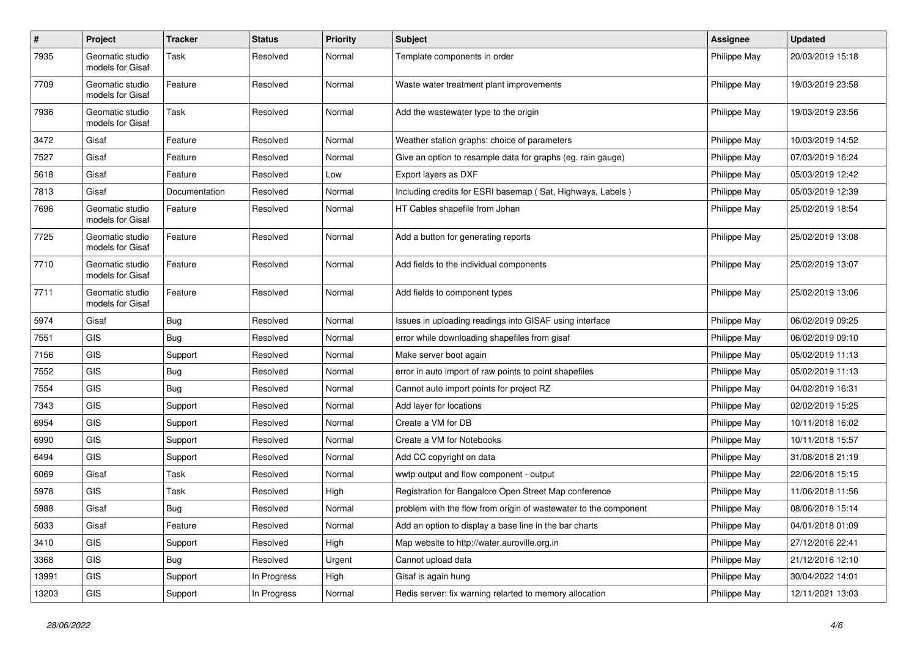| $\pmb{\#}$ | Project                             | <b>Tracker</b> | <b>Status</b> | <b>Priority</b> | <b>Subject</b>                                                   | Assignee     | <b>Updated</b>   |
|------------|-------------------------------------|----------------|---------------|-----------------|------------------------------------------------------------------|--------------|------------------|
| 7935       | Geomatic studio<br>models for Gisaf | Task           | Resolved      | Normal          | Template components in order                                     | Philippe May | 20/03/2019 15:18 |
| 7709       | Geomatic studio<br>models for Gisaf | Feature        | Resolved      | Normal          | Waste water treatment plant improvements                         | Philippe May | 19/03/2019 23:58 |
| 7936       | Geomatic studio<br>models for Gisaf | Task           | Resolved      | Normal          | Add the wastewater type to the origin                            | Philippe May | 19/03/2019 23:56 |
| 3472       | Gisaf                               | Feature        | Resolved      | Normal          | Weather station graphs: choice of parameters                     | Philippe May | 10/03/2019 14:52 |
| 7527       | Gisaf                               | Feature        | Resolved      | Normal          | Give an option to resample data for graphs (eg. rain gauge)      | Philippe May | 07/03/2019 16:24 |
| 5618       | Gisaf                               | Feature        | Resolved      | Low             | Export layers as DXF                                             | Philippe May | 05/03/2019 12:42 |
| 7813       | Gisaf                               | Documentation  | Resolved      | Normal          | Including credits for ESRI basemap (Sat, Highways, Labels)       | Philippe May | 05/03/2019 12:39 |
| 7696       | Geomatic studio<br>models for Gisaf | Feature        | Resolved      | Normal          | HT Cables shapefile from Johan                                   | Philippe May | 25/02/2019 18:54 |
| 7725       | Geomatic studio<br>models for Gisaf | Feature        | Resolved      | Normal          | Add a button for generating reports                              | Philippe May | 25/02/2019 13:08 |
| 7710       | Geomatic studio<br>models for Gisaf | Feature        | Resolved      | Normal          | Add fields to the individual components                          | Philippe May | 25/02/2019 13:07 |
| 7711       | Geomatic studio<br>models for Gisaf | Feature        | Resolved      | Normal          | Add fields to component types                                    | Philippe May | 25/02/2019 13:06 |
| 5974       | Gisaf                               | <b>Bug</b>     | Resolved      | Normal          | Issues in uploading readings into GISAF using interface          | Philippe May | 06/02/2019 09:25 |
| 7551       | GIS                                 | Bug            | Resolved      | Normal          | error while downloading shapefiles from gisaf                    | Philippe May | 06/02/2019 09:10 |
| 7156       | GIS                                 | Support        | Resolved      | Normal          | Make server boot again                                           | Philippe May | 05/02/2019 11:13 |
| 7552       | GIS                                 | <b>Bug</b>     | Resolved      | Normal          | error in auto import of raw points to point shapefiles           | Philippe May | 05/02/2019 11:13 |
| 7554       | GIS                                 | <b>Bug</b>     | Resolved      | Normal          | Cannot auto import points for project RZ                         | Philippe May | 04/02/2019 16:31 |
| 7343       | <b>GIS</b>                          | Support        | Resolved      | Normal          | Add layer for locations                                          | Philippe May | 02/02/2019 15:25 |
| 6954       | <b>GIS</b>                          | Support        | Resolved      | Normal          | Create a VM for DB                                               | Philippe May | 10/11/2018 16:02 |
| 6990       | <b>GIS</b>                          | Support        | Resolved      | Normal          | Create a VM for Notebooks                                        | Philippe May | 10/11/2018 15:57 |
| 6494       | GIS                                 | Support        | Resolved      | Normal          | Add CC copyright on data                                         | Philippe May | 31/08/2018 21:19 |
| 6069       | Gisaf                               | Task           | Resolved      | Normal          | wwtp output and flow component - output                          | Philippe May | 22/06/2018 15:15 |
| 5978       | <b>GIS</b>                          | Task           | Resolved      | High            | Registration for Bangalore Open Street Map conference            | Philippe May | 11/06/2018 11:56 |
| 5988       | Gisaf                               | Bug            | Resolved      | Normal          | problem with the flow from origin of wastewater to the component | Philippe May | 08/06/2018 15:14 |
| 5033       | Gisaf                               | Feature        | Resolved      | Normal          | Add an option to display a base line in the bar charts           | Philippe May | 04/01/2018 01:09 |
| 3410       | <b>GIS</b>                          | Support        | Resolved      | High            | Map website to http://water.auroville.org.in                     | Philippe May | 27/12/2016 22:41 |
| 3368       | <b>GIS</b>                          | Bug            | Resolved      | Urgent          | Cannot upload data                                               | Philippe May | 21/12/2016 12:10 |
| 13991      | GIS                                 | Support        | In Progress   | High            | Gisaf is again hung                                              | Philippe May | 30/04/2022 14:01 |
| 13203      | GIS                                 | Support        | In Progress   | Normal          | Redis server: fix warning relarted to memory allocation          | Philippe May | 12/11/2021 13:03 |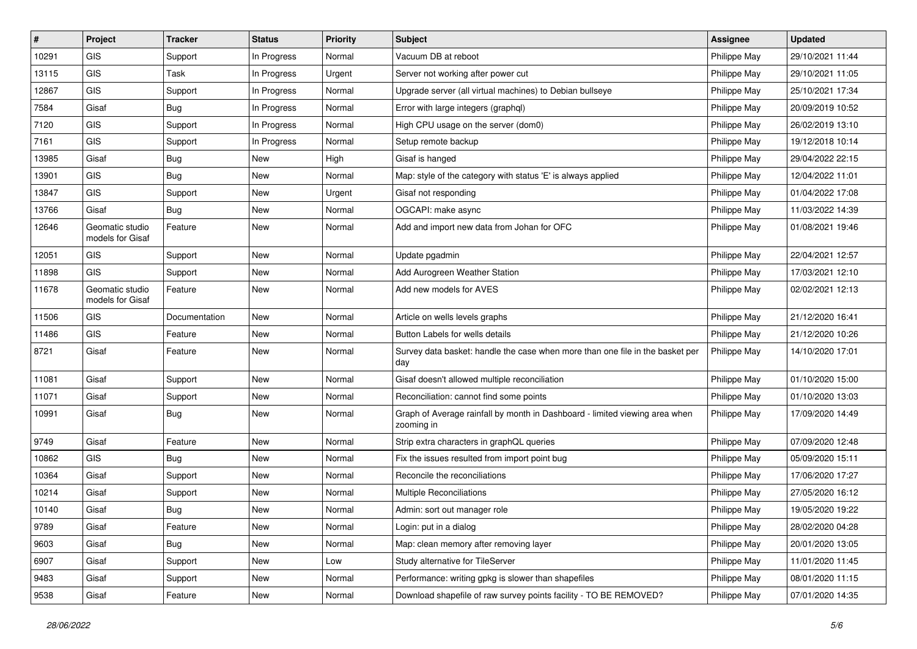| $\vert$ # | Project                             | <b>Tracker</b> | <b>Status</b> | Priority | <b>Subject</b>                                                                            | <b>Assignee</b> | <b>Updated</b>   |
|-----------|-------------------------------------|----------------|---------------|----------|-------------------------------------------------------------------------------------------|-----------------|------------------|
| 10291     | <b>GIS</b>                          | Support        | In Progress   | Normal   | Vacuum DB at reboot                                                                       | Philippe May    | 29/10/2021 11:44 |
| 13115     | <b>GIS</b>                          | Task           | In Progress   | Urgent   | Server not working after power cut                                                        | Philippe May    | 29/10/2021 11:05 |
| 12867     | GIS                                 | Support        | In Progress   | Normal   | Upgrade server (all virtual machines) to Debian bullseye                                  | Philippe May    | 25/10/2021 17:34 |
| 7584      | Gisaf                               | <b>Bug</b>     | In Progress   | Normal   | Error with large integers (graphql)                                                       | Philippe May    | 20/09/2019 10:52 |
| 7120      | GIS                                 | Support        | In Progress   | Normal   | High CPU usage on the server (dom0)                                                       | Philippe May    | 26/02/2019 13:10 |
| 7161      | GIS                                 | Support        | In Progress   | Normal   | Setup remote backup                                                                       | Philippe May    | 19/12/2018 10:14 |
| 13985     | Gisaf                               | Bug            | New           | High     | Gisaf is hanged                                                                           | Philippe May    | 29/04/2022 22:15 |
| 13901     | GIS                                 | <b>Bug</b>     | New           | Normal   | Map: style of the category with status 'E' is always applied                              | Philippe May    | 12/04/2022 11:01 |
| 13847     | GIS                                 | Support        | New           | Urgent   | Gisaf not responding                                                                      | Philippe May    | 01/04/2022 17:08 |
| 13766     | Gisaf                               | Bug            | New           | Normal   | OGCAPI: make async                                                                        | Philippe May    | 11/03/2022 14:39 |
| 12646     | Geomatic studio<br>models for Gisaf | Feature        | New           | Normal   | Add and import new data from Johan for OFC                                                | Philippe May    | 01/08/2021 19:46 |
| 12051     | GIS                                 | Support        | New           | Normal   | Update pgadmin                                                                            | Philippe May    | 22/04/2021 12:57 |
| 11898     | GIS                                 | Support        | New           | Normal   | Add Aurogreen Weather Station                                                             | Philippe May    | 17/03/2021 12:10 |
| 11678     | Geomatic studio<br>models for Gisaf | Feature        | New           | Normal   | Add new models for AVES                                                                   | Philippe May    | 02/02/2021 12:13 |
| 11506     | GIS                                 | Documentation  | <b>New</b>    | Normal   | Article on wells levels graphs                                                            | Philippe May    | 21/12/2020 16:41 |
| 11486     | GIS                                 | Feature        | New           | Normal   | Button Labels for wells details                                                           | Philippe May    | 21/12/2020 10:26 |
| 8721      | Gisaf                               | Feature        | New           | Normal   | Survey data basket: handle the case when more than one file in the basket per<br>day      | Philippe May    | 14/10/2020 17:01 |
| 11081     | Gisaf                               | Support        | <b>New</b>    | Normal   | Gisaf doesn't allowed multiple reconciliation                                             | Philippe May    | 01/10/2020 15:00 |
| 11071     | Gisaf                               | Support        | New           | Normal   | Reconciliation: cannot find some points                                                   | Philippe May    | 01/10/2020 13:03 |
| 10991     | Gisaf                               | Bug            | New           | Normal   | Graph of Average rainfall by month in Dashboard - limited viewing area when<br>zooming in | Philippe May    | 17/09/2020 14:49 |
| 9749      | Gisaf                               | Feature        | New           | Normal   | Strip extra characters in graphQL queries                                                 | Philippe May    | 07/09/2020 12:48 |
| 10862     | GIS                                 | Bug            | New           | Normal   | Fix the issues resulted from import point bug                                             | Philippe May    | 05/09/2020 15:11 |
| 10364     | Gisaf                               | Support        | New           | Normal   | Reconcile the reconciliations                                                             | Philippe May    | 17/06/2020 17:27 |
| 10214     | Gisaf                               | Support        | New           | Normal   | <b>Multiple Reconciliations</b>                                                           | Philippe May    | 27/05/2020 16:12 |
| 10140     | Gisaf                               | Bug            | New           | Normal   | Admin: sort out manager role                                                              | Philippe May    | 19/05/2020 19:22 |
| 9789      | Gisaf                               | Feature        | New           | Normal   | Login: put in a dialog                                                                    | Philippe May    | 28/02/2020 04:28 |
| 9603      | Gisaf                               | <b>Bug</b>     | New           | Normal   | Map: clean memory after removing layer                                                    | Philippe May    | 20/01/2020 13:05 |
| 6907      | Gisaf                               | Support        | New           | Low      | Study alternative for TileServer                                                          | Philippe May    | 11/01/2020 11:45 |
| 9483      | Gisaf                               | Support        | New           | Normal   | Performance: writing gpkg is slower than shapefiles                                       | Philippe May    | 08/01/2020 11:15 |
| 9538      | Gisaf                               | Feature        | New           | Normal   | Download shapefile of raw survey points facility - TO BE REMOVED?                         | Philippe May    | 07/01/2020 14:35 |